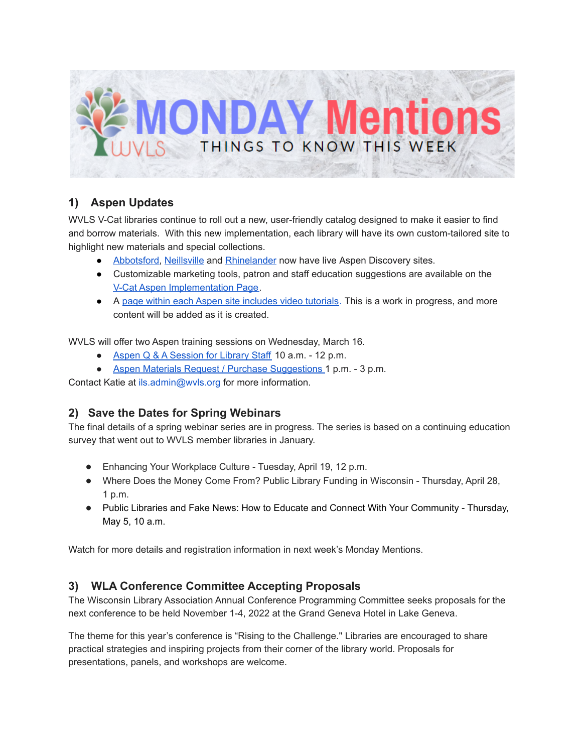

# **1) Aspen Updates**

WVLS V-Cat libraries continue to roll out a new, user-friendly catalog designed to make it easier to find and borrow materials. With this new implementation, each library will have its own custom-tailored site to highlight new materials and special collections.

- [Abbotsford,](https://abbotsford.catalog.wvls.org/) [Neillsville](https://neillsville.catalog.wvls.org/) and [Rhinelander](https://rhinelander.catalog.wvls.org/) now have live Aspen Discovery sites.
- Customizable marketing tools, patron and staff education suggestions are available on th[e](https://www.wvls.org/v-cat-aspen-implementation/) V-Cat Aspen [Implementation](https://www.wvls.org/v-cat-aspen-implementation/) Page.
- A page within each Aspen site includes video [tutorials.](https://wvls.aspendiscovery.org/Introducing-Aspen) This is a work in progress, and more content will be added as it is created.

WVLS will offer two Aspen training sessions on Wednesday, March 16.

- Aspen Q & A [Session](https://meet.goto.com/119634781) for Library Staff 10 a.m. 12 p.m.
- Aspen Materials Request / Purchase [Suggestions](https://meet.goto.com/282384621) 1 p.m. 3 p.m.

Contact Katie at ils.admin@wvls.org for more information.

## **2) Save the Dates for Spring Webinars**

The final details of a spring webinar series are in progress. The series is based on a continuing education survey that went out to WVLS member libraries in January.

- Enhancing Your Workplace Culture Tuesday, April 19, 12 p.m.
- Where Does the Money Come From? Public Library Funding in Wisconsin Thursday, April 28, 1 p.m.
- Public Libraries and Fake News: How to Educate and Connect With Your Community Thursday, May 5, 10 a.m.

Watch for more details and registration information in next week's Monday Mentions.

## **3) WLA Conference Committee Accepting Proposals**

The Wisconsin Library Association Annual Conference Programming Committee seeks proposals for the next conference to be held November 1-4, 2022 at the Grand Geneva Hotel in Lake Geneva.

The theme for this year's conference is "Rising to the Challenge.'' Libraries are encouraged to share practical strategies and inspiring projects from their corner of the library world. Proposals for presentations, panels, and workshops are welcome.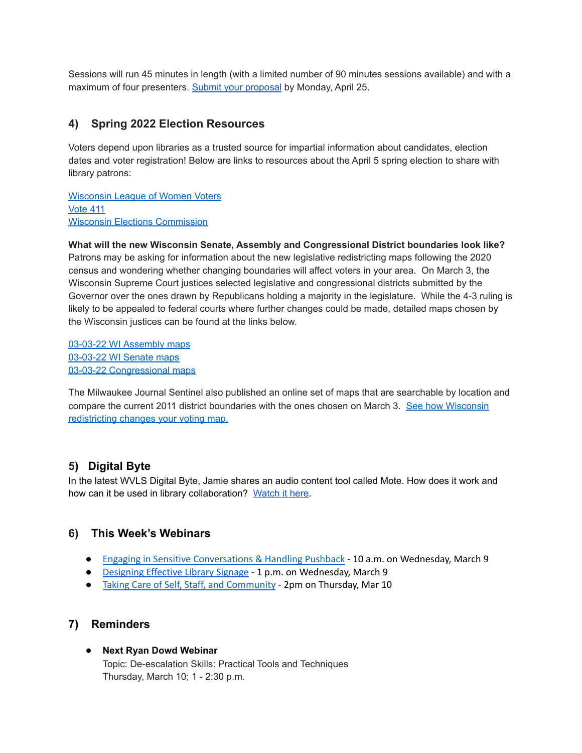Sessions will run 45 minutes in length (with a limited number of 90 minutes sessions available) and with a maximum of four presenters. Submit your [proposal](https://forms.gle/pajy7q3c73UNGDCb8) by Monday, April 25.

## **4) Spring 2022 Election Resources**

Voters depend upon libraries as a trusted source for impartial information about candidates, election dates and voter registration! Below are links to resources about the April 5 spring election to share with library patrons:

[Wisconsin](http://wla.memberclicks.net/message2/link/c5044f0d-6989-4088-91f1-08ea062c4992/33) League of Women Voters [Vote](http://wla.memberclicks.net/message2/link/c5044f0d-6989-4088-91f1-08ea062c4992/34) 411 Wisconsin Elections [Commission](http://wla.memberclicks.net/message2/link/c5044f0d-6989-4088-91f1-08ea062c4992/35)

**What will the new Wisconsin Senate, Assembly and Congressional District boundaries look like?** Patrons may be asking for information about the new legislative redistricting maps following the 2020 census and wondering whether changing boundaries will affect voters in your area. On March 3, the Wisconsin Supreme Court justices selected legislative and congressional districts submitted by the Governor over the ones drawn by Republicans holding a majority in the legislature. While the 4-3 ruling is likely to be appealed to federal courts where further changes could be made, detailed maps chosen by the Wisconsin justices can be found at the links below.

03-03-22 WI [Assembly](https://www.google.com/maps/d/viewer?mid=1fPl8On9q8ZyTa6A1V3CJDzry3YR_pGNt&ll=45.492108559918464%2C-88.89193538464694&z=10) maps [03-03-22](https://www.google.com/maps/d/viewer?mid=16pQAubyKxYn-7qSF8Lu5RHTm8DsOlJdV&ll=45.68544040134757%2C-88.21644338010707&z=8) WI Senate maps 03-03-22 [Congressional](https://www.google.com/maps/d/viewer?mid=10H4O7oyvGSgks0eS2-nppEzh-L4d1Vmk&ll=44.80583720525291%2C-90.57967675842303&z=7) maps

The Milwaukee Journal Sentinel also published an online set of maps that are searchable by location and compare the current 2011 district boundaries with the ones chosen on March 3. See how [Wisconsin](https://projects.jsonline.com/topics/redistricting/2022/wisconsin-congressional-legislature-redistricting-maps-2022.html) [redistricting](https://projects.jsonline.com/topics/redistricting/2022/wisconsin-congressional-legislature-redistricting-maps-2022.html) changes your voting map.

## **5) Digital Byte**

In the latest WVLS Digital Byte, Jamie shares an audio content tool called Mote. How does it work and how can it be used in library collaboration? [Watch](https://www.youtube.com/watch?v=NJmHeVKZjX0) it here.

## **6) This Week's Webinars**

- Engaging in Sensitive [Conversations](https://us02web.zoom.us/webinar/register/WN_-gdmoUzCS-qQw3M8QKymHg) & Handling Pushback 10 a.m. on Wednesday, March 9
- [Designing](https://www.nicheacademy.com/designing-effective-library-signage?utm_campaign=Webinars&utm_medium=email&_hsenc=p2ANqtz-_v_LuaRXIuQb7h0C-h_7PbjaB9vT4OjKBT7hDUkgYSNAkLtY9HcbpzloJSf985LMQcNf_Ccokk7MYwuKH1-ZbwN0N_NA&_hsmi=204675667&utm_content=195383996&utm_source=hs_email&hsCtaTracking=a3dd8d13-21ee-49bc-8d0a-31d58e98ebcc%7C4024548f-5e11-49d5-b449-b70d718d9f9e) Effective Library Signage 1 p.m. on Wednesday, March 9
- Taking Care of Self, Staff, and [Community](https://oclcwebinar.webex.com/mw3300/mywebex/default.do?nomenu=true&siteurl=oclcwebinar&service=6&rnd=0.3214540820274757&main_url=https%3A%2F%2Foclcwebinar.webex.com%2Fec3300%2Feventcenter%2Fevent%2FeventAction.do%3FtheAction%3Ddetail%26%26%26EMK%3D4832534b000000051e24c206443fadb3396442cf05a1f64585f4c47ebade2493e15135c548394edf%26siteurl%3Doclcwebinar%26confViewID%3D218045417730879327%26encryptTicket%3DSDJTSwAAAAXNgsSqW6EukEuQ1viKct4YK2oksAVEgij5Lm4FnaPw4Q2%26) 2pm on Thursday, Mar 10

## **7) Reminders**

#### ● **Next Ryan Dowd Webinar**

Topic: De-escalation Skills: Practical Tools and Techniques Thursday, March 10; 1 - 2:30 p.m.